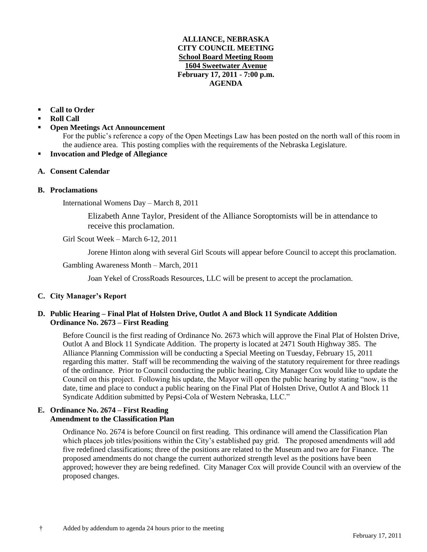#### **ALLIANCE, NEBRASKA CITY COUNCIL MEETING School Board Meeting Room 1604 Sweetwater Avenue February 17, 2011 - 7:00 p.m. AGENDA**

## **Call to Order**

- **Roll Call**
- **Open Meetings Act Announcement**

For the public's reference a copy of the Open Meetings Law has been posted on the north wall of this room in the audience area. This posting complies with the requirements of the Nebraska Legislature.

**Invocation and Pledge of Allegiance**

## **A. Consent Calendar**

#### **B. Proclamations**

International Womens Day – March 8, 2011

Elizabeth Anne Taylor, President of the Alliance Soroptomists will be in attendance to receive this proclamation.

Girl Scout Week – March 6-12, 2011

Jorene Hinton along with several Girl Scouts will appear before Council to accept this proclamation.

Gambling Awareness Month – March, 2011

Joan Yekel of CrossRoads Resources, LLC will be present to accept the proclamation.

# **C. City Manager's Report**

## **D. Public Hearing – Final Plat of Holsten Drive, Outlot A and Block 11 Syndicate Addition Ordinance No. 2673 – First Reading**

Before Council is the first reading of Ordinance No. 2673 which will approve the Final Plat of Holsten Drive, Outlot A and Block 11 Syndicate Addition. The property is located at 2471 South Highway 385. The Alliance Planning Commission will be conducting a Special Meeting on Tuesday, February 15, 2011 regarding this matter. Staff will be recommending the waiving of the statutory requirement for three readings of the ordinance. Prior to Council conducting the public hearing, City Manager Cox would like to update the Council on this project. Following his update, the Mayor will open the public hearing by stating "now, is the date, time and place to conduct a public hearing on the Final Plat of Holsten Drive, Outlot A and Block 11 Syndicate Addition submitted by Pepsi-Cola of Western Nebraska, LLC."

#### **E. Ordinance No. 2674 – First Reading Amendment to the Classification Plan**

Ordinance No. 2674 is before Council on first reading. This ordinance will amend the Classification Plan which places job titles/positions within the City's established pay grid. The proposed amendments will add five redefined classifications; three of the positions are related to the Museum and two are for Finance. The proposed amendments do not change the current authorized strength level as the positions have been approved; however they are being redefined. City Manager Cox will provide Council with an overview of the proposed changes.